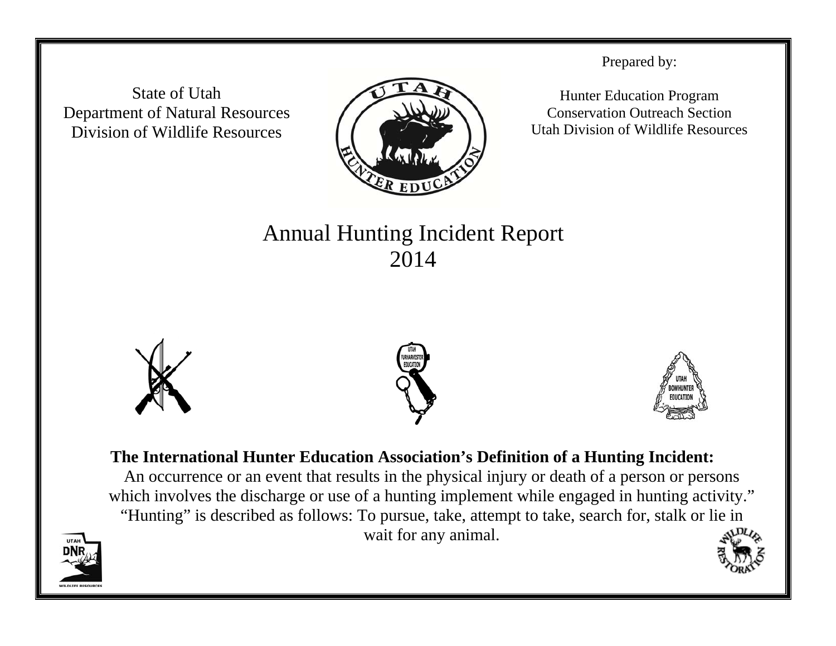State of Utah Department of Natural Resources Division of Wildlife Resources



Prepared by:

Hunter Education Program Conservation Outreach Section Utah Division of Wildlife Resources

## Annual Hunting Incident Report 2014







## **The International Hunter Education Association's Definition of a Hunting Incident:**  An occurrence or an event that results in the physical injury or death of a person or persons which involves the discharge or use of a hunting implement while engaged in hunting activity."

"Hunting" is described as follows: To pursue, take, attempt to take, search for, stalk or lie in wait for any animal.

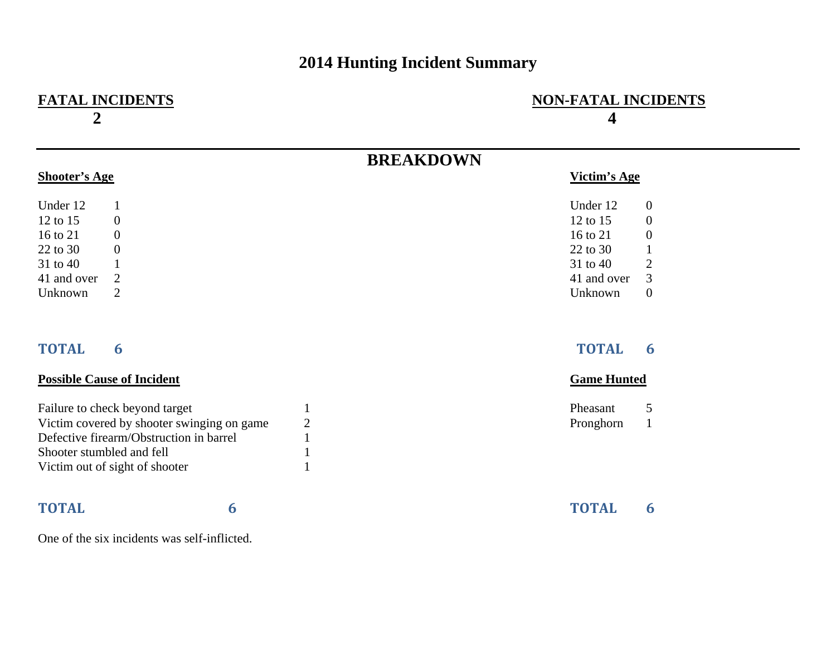## **2014 Hunting Incident Summary**

| <b>NON-FATAL INCIDENTS</b><br>$\overline{\mathbf{4}}$ |  |  |
|-------------------------------------------------------|--|--|
| <b>BREAKDOWN</b>                                      |  |  |
| Victim's Age                                          |  |  |
| Under 12<br>$\boldsymbol{0}$                          |  |  |
| 12 to 15<br>$\boldsymbol{0}$                          |  |  |
| 16 to 21<br>$\boldsymbol{0}$                          |  |  |
| 22 to 30<br>$\mathbf{1}$                              |  |  |
| $\overline{2}$<br>31 to 40                            |  |  |
| 3<br>41 and over                                      |  |  |
| $\boldsymbol{0}$<br>Unknown                           |  |  |
| <b>TOTAL</b><br>6                                     |  |  |
| <b>Game Hunted</b>                                    |  |  |
| 5<br>Pheasant                                         |  |  |
| Pronghorn<br>$\mathbf{1}$                             |  |  |
|                                                       |  |  |
|                                                       |  |  |
|                                                       |  |  |
| <b>TOTAL</b><br>6                                     |  |  |
|                                                       |  |  |

One of the six incidents was self-inflicted.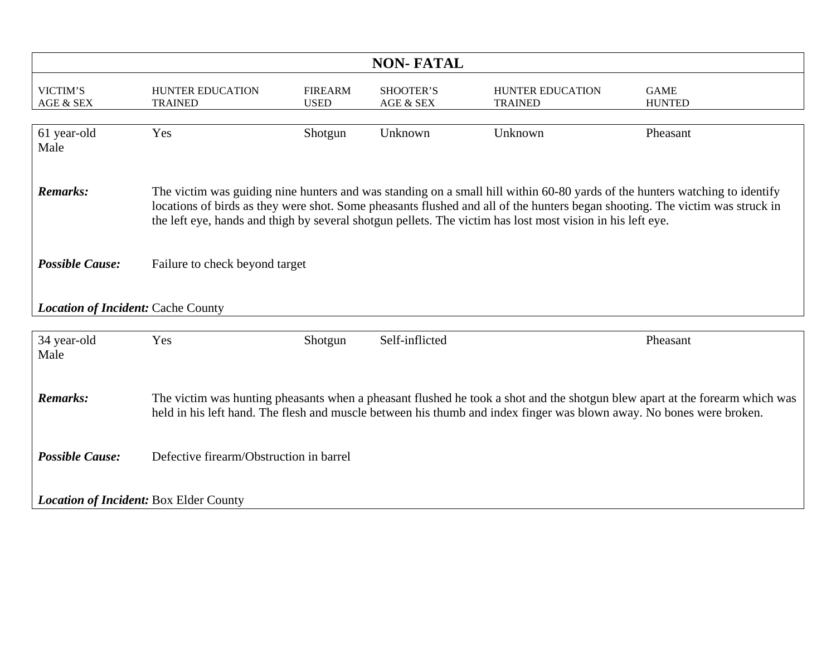| <b>NON-FATAL</b>                              |                                                                                                                                                                                                                                                                                                                                                                           |                               |                        |                                           |                              |  |
|-----------------------------------------------|---------------------------------------------------------------------------------------------------------------------------------------------------------------------------------------------------------------------------------------------------------------------------------------------------------------------------------------------------------------------------|-------------------------------|------------------------|-------------------------------------------|------------------------------|--|
| VICTIM'S<br>AGE & SEX                         | HUNTER EDUCATION<br><b>TRAINED</b>                                                                                                                                                                                                                                                                                                                                        | <b>FIREARM</b><br><b>USED</b> | SHOOTER'S<br>AGE & SEX | <b>HUNTER EDUCATION</b><br><b>TRAINED</b> | <b>GAME</b><br><b>HUNTED</b> |  |
| 61 year-old<br>Male                           | Yes                                                                                                                                                                                                                                                                                                                                                                       | Shotgun                       | Unknown                | Unknown                                   | Pheasant                     |  |
| <b>Remarks:</b>                               | The victim was guiding nine hunters and was standing on a small hill within 60-80 yards of the hunters watching to identify<br>locations of birds as they were shot. Some pheasants flushed and all of the hunters began shooting. The victim was struck in<br>the left eye, hands and thigh by several shotgun pellets. The victim has lost most vision in his left eye. |                               |                        |                                           |                              |  |
| <b>Possible Cause:</b>                        | Failure to check beyond target                                                                                                                                                                                                                                                                                                                                            |                               |                        |                                           |                              |  |
| <b>Location of Incident: Cache County</b>     |                                                                                                                                                                                                                                                                                                                                                                           |                               |                        |                                           |                              |  |
| 34 year-old<br>Male                           | Yes                                                                                                                                                                                                                                                                                                                                                                       | Shotgun                       | Self-inflicted         |                                           | Pheasant                     |  |
| <b>Remarks:</b>                               | The victim was hunting pheasants when a pheasant flushed he took a shot and the shotgun blew apart at the forearm which was<br>held in his left hand. The flesh and muscle between his thumb and index finger was blown away. No bones were broken.                                                                                                                       |                               |                        |                                           |                              |  |
| <b>Possible Cause:</b>                        | Defective firearm/Obstruction in barrel                                                                                                                                                                                                                                                                                                                                   |                               |                        |                                           |                              |  |
| <b>Location of Incident: Box Elder County</b> |                                                                                                                                                                                                                                                                                                                                                                           |                               |                        |                                           |                              |  |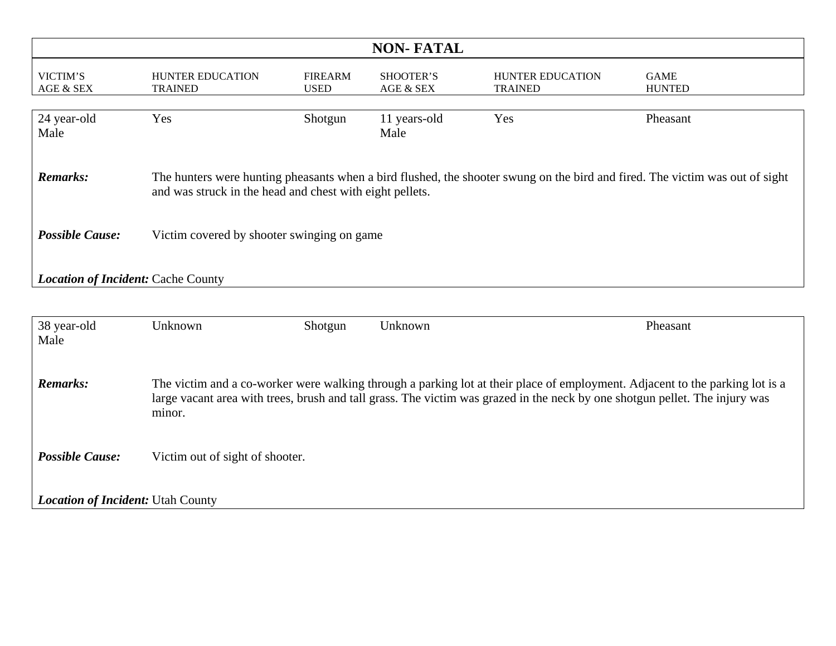| <b>NON-FATAL</b>                          |                                                                                                                                                                                                                                                                       |                               |                               |                                           |                              |  |  |
|-------------------------------------------|-----------------------------------------------------------------------------------------------------------------------------------------------------------------------------------------------------------------------------------------------------------------------|-------------------------------|-------------------------------|-------------------------------------------|------------------------------|--|--|
| VICTIM'S<br>AGE & SEX                     | <b>HUNTER EDUCATION</b><br><b>TRAINED</b>                                                                                                                                                                                                                             | <b>FIREARM</b><br><b>USED</b> | <b>SHOOTER'S</b><br>AGE & SEX | <b>HUNTER EDUCATION</b><br><b>TRAINED</b> | <b>GAME</b><br><b>HUNTED</b> |  |  |
| 24 year-old<br>Male                       | Yes                                                                                                                                                                                                                                                                   | Shotgun                       | 11 years-old<br>Male          | Yes                                       | Pheasant                     |  |  |
| <b>Remarks:</b>                           | The hunters were hunting pheasants when a bird flushed, the shooter swung on the bird and fired. The victim was out of sight<br>and was struck in the head and chest with eight pellets.                                                                              |                               |                               |                                           |                              |  |  |
| <b>Possible Cause:</b>                    | Victim covered by shooter swinging on game                                                                                                                                                                                                                            |                               |                               |                                           |                              |  |  |
| <b>Location of Incident: Cache County</b> |                                                                                                                                                                                                                                                                       |                               |                               |                                           |                              |  |  |
|                                           |                                                                                                                                                                                                                                                                       |                               |                               |                                           |                              |  |  |
| 38 year-old<br>Male                       | Unknown                                                                                                                                                                                                                                                               | Shotgun                       | Unknown                       |                                           | Pheasant                     |  |  |
| <b>Remarks:</b>                           | The victim and a co-worker were walking through a parking lot at their place of employment. Adjacent to the parking lot is a<br>large vacant area with trees, brush and tall grass. The victim was grazed in the neck by one shotgun pellet. The injury was<br>minor. |                               |                               |                                           |                              |  |  |
| <b>Possible Cause:</b>                    | Victim out of sight of shooter.                                                                                                                                                                                                                                       |                               |                               |                                           |                              |  |  |
| <b>Location of Incident: Utah County</b>  |                                                                                                                                                                                                                                                                       |                               |                               |                                           |                              |  |  |